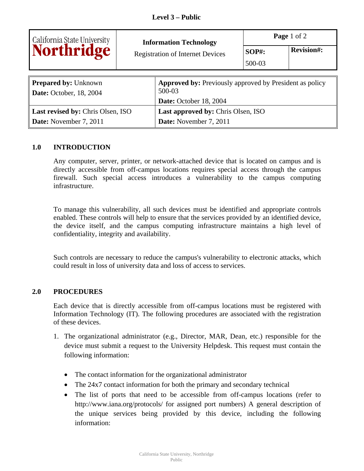|                                                               | <b>Information Technology</b> |                                                                          | Page 1 of 2            |                   |  |
|---------------------------------------------------------------|-------------------------------|--------------------------------------------------------------------------|------------------------|-------------------|--|
| California State University<br>Northridge                     |                               | <b>Registration of Internet Devices</b>                                  | <b>SOP#:</b><br>500-03 | <b>Revision#:</b> |  |
|                                                               |                               |                                                                          |                        |                   |  |
| <b>Prepared by: Unknown</b><br><b>Date:</b> October, 18, 2004 |                               | <b>Approved by: Previously approved by President as policy</b><br>500-03 |                        |                   |  |
|                                                               |                               | Date: October 18, 2004                                                   |                        |                   |  |
| Last revised by: Chris Olsen, ISO                             |                               | <b>Last approved by: Chris Olsen, ISO</b>                                |                        |                   |  |
| <b>Date:</b> November 7, 2011                                 |                               | Date: November 7, 2011                                                   |                        |                   |  |

## **1.0 INTRODUCTION**

Any computer, server, printer, or network-attached device that is located on campus and is directly accessible from off-campus locations requires special access through the campus firewall. Such special access introduces a vulnerability to the campus computing infrastructure.

To manage this vulnerability, all such devices must be identified and appropriate controls enabled. These controls will help to ensure that the services provided by an identified device, the device itself, and the campus computing infrastructure maintains a high level of confidentiality, integrity and availability.

Such controls are necessary to reduce the campus's vulnerability to electronic attacks, which could result in loss of university data and loss of access to services.

## **2.0 PROCEDURES**

Each device that is directly accessible from off-campus locations must be registered with Information Technology (IT). The following procedures are associated with the registration of these devices.

- 1. The organizational administrator (e.g., Director, MAR, Dean, etc.) responsible for the device must submit a request to the University Helpdesk. This request must contain the following information:
	- The contact information for the organizational administrator
	- The 24x7 contact information for both the primary and secondary technical
	- The list of ports that need to be accessible from off-campus locations (refer to [http://www.iana.org/protocols/](http://www.iana.org/protocols) for assigned port numbers) A general description of the unique services being provided by this device, including the following information: